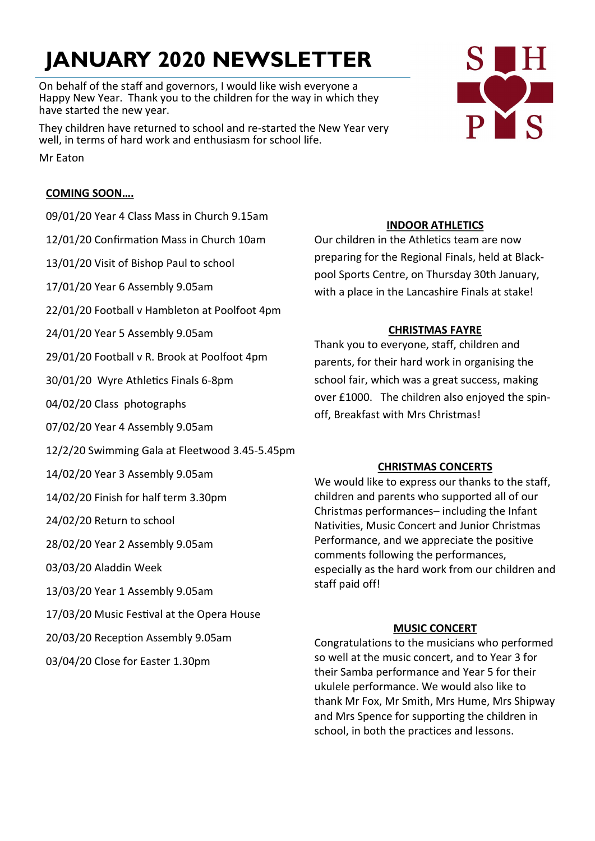# **JANUARY 2020 NEWSLETTER**

On behalf of the staff and governors, I would like wish everyone a Happy New Year. Thank you to the children for the way in which they have started the new year.

They children have returned to school and re-started the New Year very well, in terms of hard work and enthusiasm for school life.

Mr Eaton

# **COMING SOON….**

09/01/20 Year 4 Class Mass in Church 9.15am

12/01/20 Confirmation Mass in Church 10am

13/01/20 Visit of Bishop Paul to school

17/01/20 Year 6 Assembly 9.05am

22/01/20 Football v Hambleton at Poolfoot 4pm

24/01/20 Year 5 Assembly 9.05am

29/01/20 Football v R. Brook at Poolfoot 4pm

30/01/20 Wyre Athletics Finals 6-8pm

04/02/20 Class photographs

07/02/20 Year 4 Assembly 9.05am

12/2/20 Swimming Gala at Fleetwood 3.45-5.45pm

14/02/20 Year 3 Assembly 9.05am

14/02/20 Finish for half term 3.30pm

24/02/20 Return to school

28/02/20 Year 2 Assembly 9.05am

03/03/20 Aladdin Week

13/03/20 Year 1 Assembly 9.05am

17/03/20 Music Festival at the Opera House

20/03/20 Reception Assembly 9.05am

03/04/20 Close for Easter 1.30pm

# **INDOOR ATHLETICS**

Our children in the Athletics team are now preparing for the Regional Finals, held at Blackpool Sports Centre, on Thursday 30th January, with a place in the Lancashire Finals at stake!

# **CHRISTMAS FAYRE**

Thank you to everyone, staff, children and parents, for their hard work in organising the school fair, which was a great success, making over £1000. The children also enjoyed the spinoff, Breakfast with Mrs Christmas!

# **CHRISTMAS CONCERTS**

We would like to express our thanks to the staff, children and parents who supported all of our Christmas performances– including the Infant Nativities, Music Concert and Junior Christmas Performance, and we appreciate the positive comments following the performances, especially as the hard work from our children and staff paid off!

# **MUSIC CONCERT**

Congratulations to the musicians who performed so well at the music concert, and to Year 3 for their Samba performance and Year 5 for their ukulele performance. We would also like to thank Mr Fox, Mr Smith, Mrs Hume, Mrs Shipway and Mrs Spence for supporting the children in school, in both the practices and lessons.

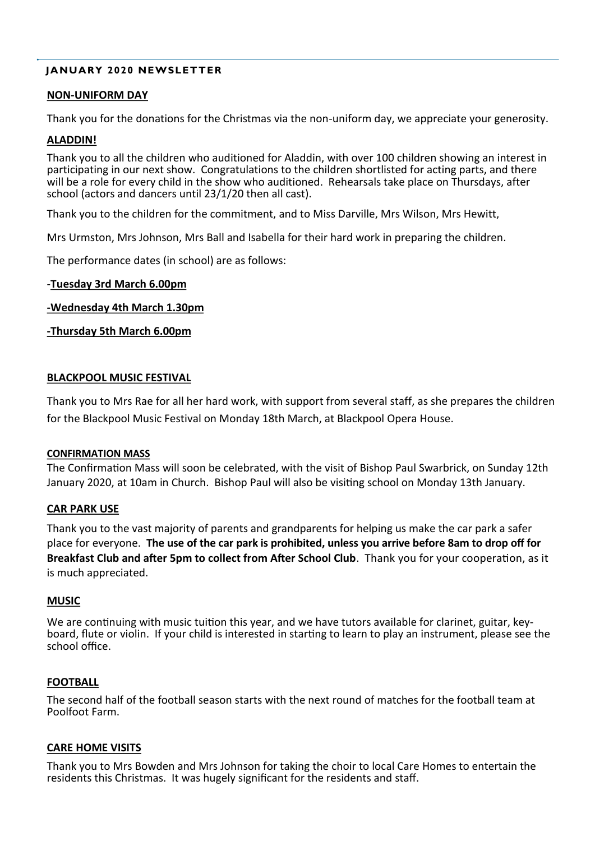# **JANUARY 2020 NEWSLET TER**

## **NON-UNIFORM DAY**

Thank you for the donations for the Christmas via the non-uniform day, we appreciate your generosity.

## **ALADDIN!**

Thank you to all the children who auditioned for Aladdin, with over 100 children showing an interest in participating in our next show. Congratulations to the children shortlisted for acting parts, and there will be a role for every child in the show who auditioned. Rehearsals take place on Thursdays, after school (actors and dancers until 23/1/20 then all cast).

Thank you to the children for the commitment, and to Miss Darville, Mrs Wilson, Mrs Hewitt,

Mrs Urmston, Mrs Johnson, Mrs Ball and Isabella for their hard work in preparing the children.

The performance dates (in school) are as follows:

# -**Tuesday 3rd March 6.00pm**

**-Wednesday 4th March 1.30pm**

**-Thursday 5th March 6.00pm**

## **BLACKPOOL MUSIC FESTIVAL**

Thank you to Mrs Rae for all her hard work, with support from several staff, as she prepares the children for the Blackpool Music Festival on Monday 18th March, at Blackpool Opera House.

#### **CONFIRMATION MASS**

The Confirmation Mass will soon be celebrated, with the visit of Bishop Paul Swarbrick, on Sunday 12th January 2020, at 10am in Church. Bishop Paul will also be visiting school on Monday 13th January.

#### **CAR PARK USE**

Thank you to the vast majority of parents and grandparents for helping us make the car park a safer place for everyone. **The use of the car park is prohibited, unless you arrive before 8am to drop off for Breakfast Club and after 5pm to collect from After School Club**. Thank you for your cooperation, as it is much appreciated.

#### **MUSIC**

We are continuing with music tuition this year, and we have tutors available for clarinet, guitar, keyboard, flute or violin. If your child is interested in starting to learn to play an instrument, please see the school office.

#### **FOOTBALL**

The second half of the football season starts with the next round of matches for the football team at Poolfoot Farm.

#### **CARE HOME VISITS**

Thank you to Mrs Bowden and Mrs Johnson for taking the choir to local Care Homes to entertain the residents this Christmas. It was hugely significant for the residents and staff.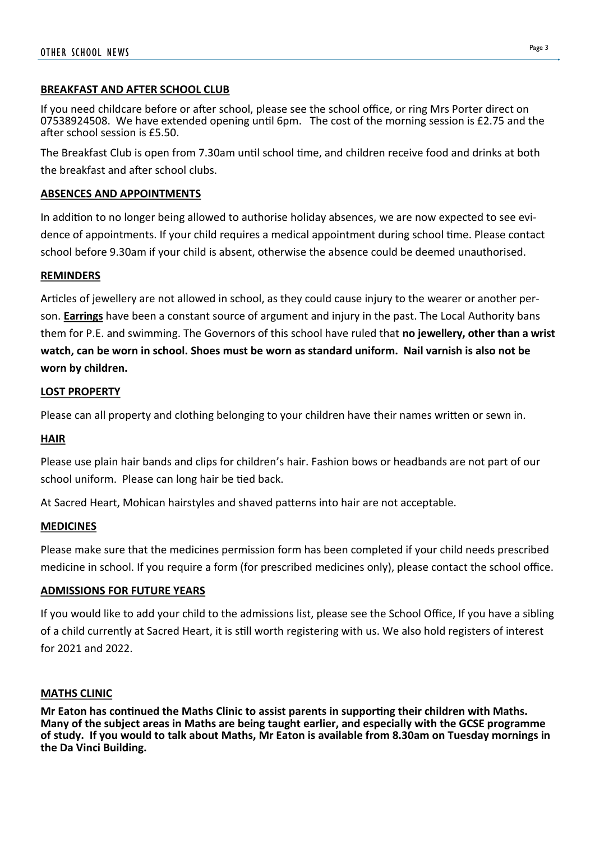## **BREAKFAST AND AFTER SCHOOL CLUB**

If you need childcare before or after school, please see the school office, or ring Mrs Porter direct on 07538924508. We have extended opening until 6pm. The cost of the morning session is £2.75 and the after school session is £5.50.

The Breakfast Club is open from 7.30am until school time, and children receive food and drinks at both the breakfast and after school clubs.

## **ABSENCES AND APPOINTMENTS**

In addition to no longer being allowed to authorise holiday absences, we are now expected to see evidence of appointments. If your child requires a medical appointment during school time. Please contact school before 9.30am if your child is absent, otherwise the absence could be deemed unauthorised.

## **REMINDERS**

Articles of jewellery are not allowed in school, as they could cause injury to the wearer or another person. **Earrings** have been a constant source of argument and injury in the past. The Local Authority bans them for P.E. and swimming. The Governors of this school have ruled that **no jewellery, other than a wrist watch, can be worn in school. Shoes must be worn as standard uniform. Nail varnish is also not be worn by children.**

#### **LOST PROPERTY**

Please can all property and clothing belonging to your children have their names written or sewn in.

#### **HAIR**

Please use plain hair bands and clips for children's hair. Fashion bows or headbands are not part of our school uniform. Please can long hair be tied back.

At Sacred Heart, Mohican hairstyles and shaved patterns into hair are not acceptable.

#### **MEDICINES**

Please make sure that the medicines permission form has been completed if your child needs prescribed medicine in school. If you require a form (for prescribed medicines only), please contact the school office.

#### **ADMISSIONS FOR FUTURE YEARS**

If you would like to add your child to the admissions list, please see the School Office, If you have a sibling of a child currently at Sacred Heart, it is still worth registering with us. We also hold registers of interest for 2021 and 2022.

# **MATHS CLINIC**

**Mr Eaton has continued the Maths Clinic to assist parents in supporting their children with Maths. Many of the subject areas in Maths are being taught earlier, and especially with the GCSE programme of study. If you would to talk about Maths, Mr Eaton is available from 8.30am on Tuesday mornings in the Da Vinci Building.**